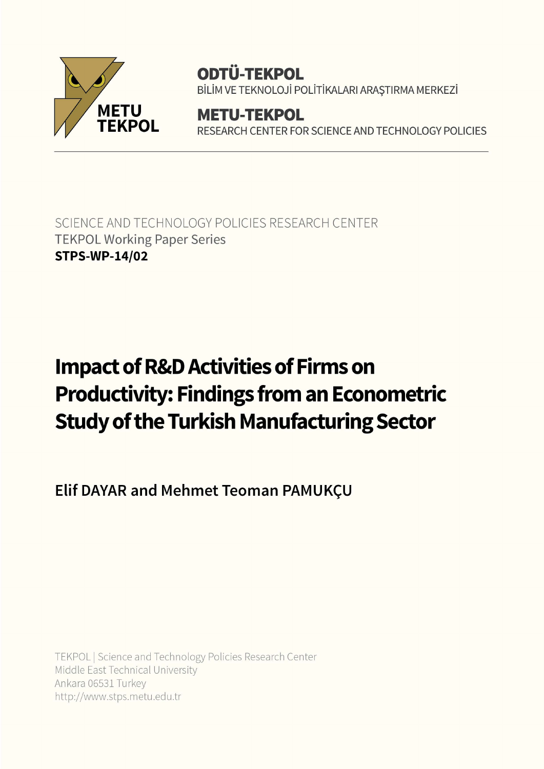

## **ODTÜ-TEKPOL**

BİLİM VE TEKNOLOJİ POLİTİKALARI ARAŞTIRMA MERKEZİ

**METU-TEKPOL** RESEARCH CENTER FOR SCIENCE AND TECHNOLOGY POLICIES

SCIENCE AND TECHNOLOGY POLICIES RESEARCH CENTER **TEKPOL Working Paper Series STPS-WP-14/02** 

# **Impact of R&D Activities of Firms on Productivity: Findings from an Econometric Study of the Turkish Manufacturing Sector**

Elif DAYAR and Mehmet Teoman PAMUKÇU

TEKPOL | Science and Technology Policies Research Center Middle East Technical University Ankara 06531 Turkey http://www.stps.metu.edu.tr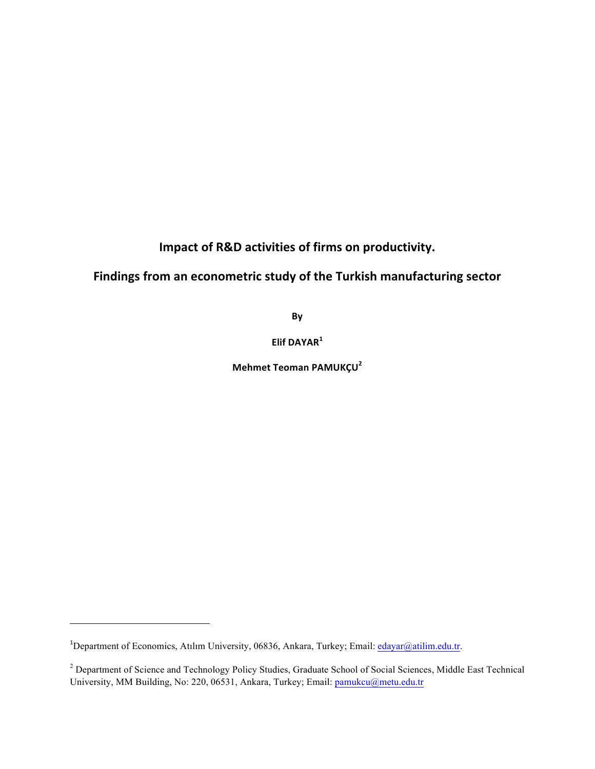**Impact of R&D activities of firms on productivity.** 

## Findings from an econometric study of the Turkish manufacturing sector

By

**Elif DAYAR<sup>1</sup>**

**Mehmet Teoman PAMUKÇU<sup>2</sup>**

<u> 1989 - Johann Stein, markin film yn y breninn y breninn y breninn y breninn y breninn y breninn y breninn y b</u>

<sup>&</sup>lt;sup>1</sup>Department of Economics, Atılım University, 06836, Ankara, Turkey; Email: edayar@atilim.edu.tr.

<sup>&</sup>lt;sup>2</sup> Department of Science and Technology Policy Studies, Graduate School of Social Sciences, Middle East Technical University, MM Building, No: 220, 06531, Ankara, Turkey; Email: pamukcu@metu.edu.tr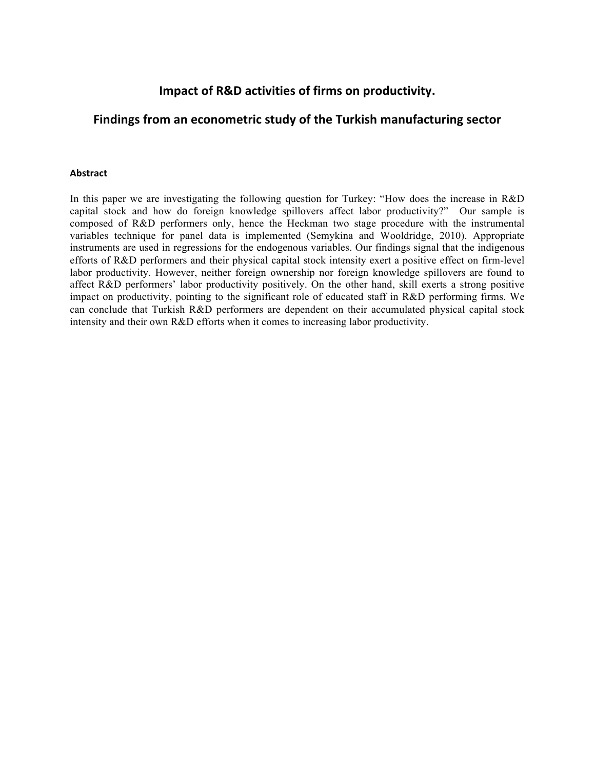### **Impact of R&D activities of firms on productivity.**

## Findings from an econometric study of the Turkish manufacturing sector

#### **Abstract**

In this paper we are investigating the following question for Turkey: "How does the increase in R&D capital stock and how do foreign knowledge spillovers affect labor productivity?" Our sample is composed of R&D performers only, hence the Heckman two stage procedure with the instrumental variables technique for panel data is implemented (Semykina and Wooldridge, 2010). Appropriate instruments are used in regressions for the endogenous variables. Our findings signal that the indigenous efforts of R&D performers and their physical capital stock intensity exert a positive effect on firm-level labor productivity. However, neither foreign ownership nor foreign knowledge spillovers are found to affect R&D performers' labor productivity positively. On the other hand, skill exerts a strong positive impact on productivity, pointing to the significant role of educated staff in R&D performing firms. We can conclude that Turkish R&D performers are dependent on their accumulated physical capital stock intensity and their own R&D efforts when it comes to increasing labor productivity.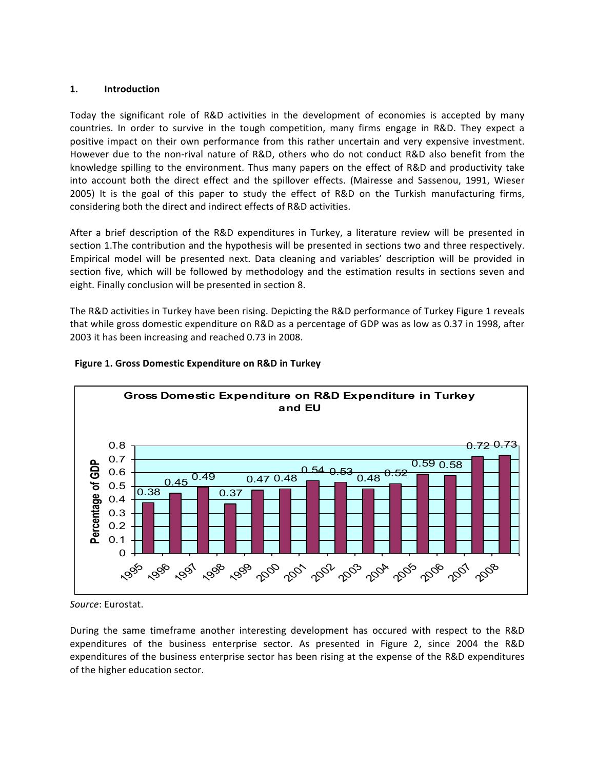#### **1. Introduction**

Today the significant role of R&D activities in the development of economies is accepted by many countries. In order to survive in the tough competition, many firms engage in R&D. They expect a positive impact on their own performance from this rather uncertain and very expensive investment. However due to the non-rival nature of R&D, others who do not conduct R&D also benefit from the knowledge spilling to the environment. Thus many papers on the effect of R&D and productivity take into account both the direct effect and the spillover effects. (Mairesse and Sassenou, 1991, Wieser 2005) It is the goal of this paper to study the effect of R&D on the Turkish manufacturing firms, considering both the direct and indirect effects of R&D activities.

After a brief description of the R&D expenditures in Turkey, a literature review will be presented in section 1.The contribution and the hypothesis will be presented in sections two and three respectively. Empirical model will be presented next. Data cleaning and variables' description will be provided in section five, which will be followed by methodology and the estimation results in sections seven and eight. Finally conclusion will be presented in section 8.

The R&D activities in Turkey have been rising. Depicting the R&D performance of Turkey Figure 1 reveals that while gross domestic expenditure on R&D as a percentage of GDP was as low as 0.37 in 1998, after 2003 it has been increasing and reached 0.73 in 2008.



#### **Figure 1. Gross Domestic Expenditure on R&D in Turkey**

During the same timeframe another interesting development has occured with respect to the R&D expenditures of the business enterprise sector. As presented in Figure 2, since 2004 the R&D expenditures of the business enterprise sector has been rising at the expense of the R&D expenditures of the higher education sector.

Source: Eurostat.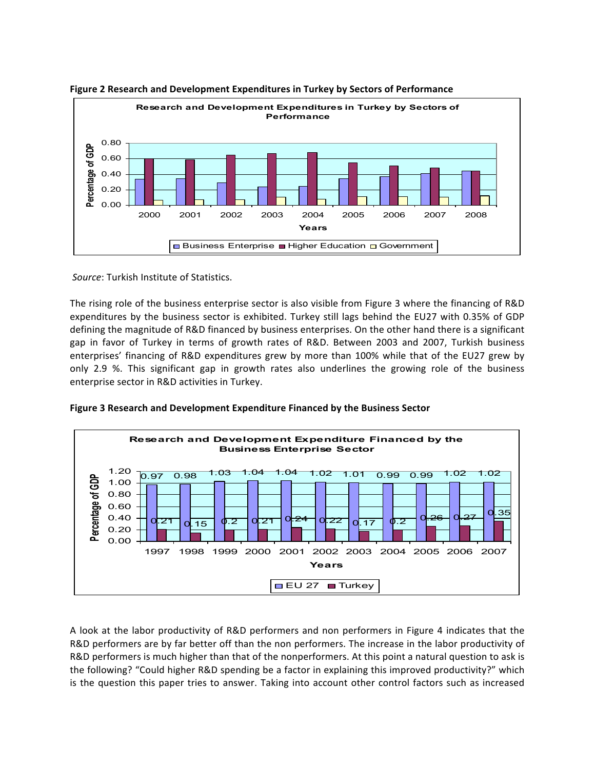

**Figure 2 Research and Development Expenditures in Turkey by Sectors of Performance** 

Source: Turkish Institute of Statistics.

The rising role of the business enterprise sector is also visible from Figure 3 where the financing of R&D expenditures by the business sector is exhibited. Turkey still lags behind the EU27 with 0.35% of GDP defining the magnitude of R&D financed by business enterprises. On the other hand there is a significant gap in favor of Turkey in terms of growth rates of R&D. Between 2003 and 2007, Turkish business enterprises' financing of R&D expenditures grew by more than 100% while that of the EU27 grew by only 2.9 %. This significant gap in growth rates also underlines the growing role of the business enterprise sector in R&D activities in Turkey.





A look at the labor productivity of R&D performers and non performers in Figure 4 indicates that the R&D performers are by far better off than the non performers. The increase in the labor productivity of R&D performers is much higher than that of the nonperformers. At this point a natural question to ask is the following? "Could higher R&D spending be a factor in explaining this improved productivity?" which is the question this paper tries to answer. Taking into account other control factors such as increased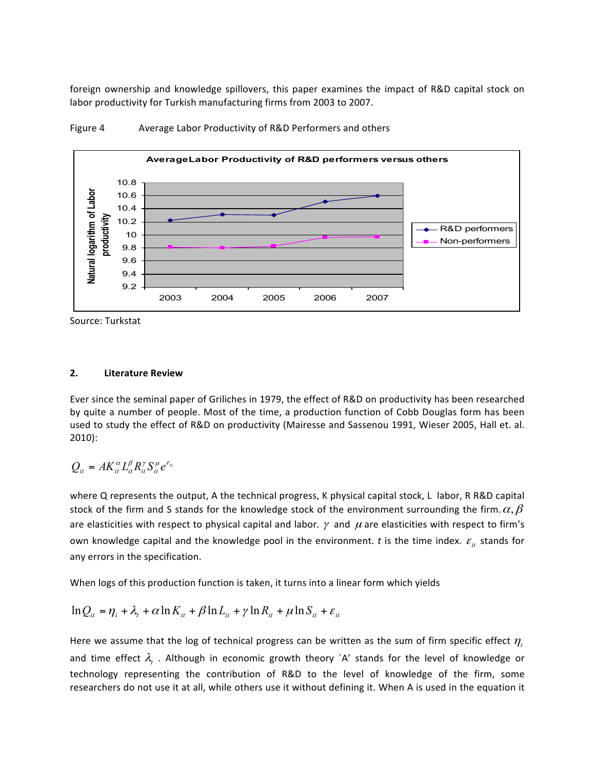foreign ownership and knowledge spillovers, this paper examines the impact of R&D capital stock on labor productivity for Turkish manufacturing firms from 2003 to 2007.



Figure 4 Average Labor Productivity of R&D Performers and others

Source: Turkstat

#### **2. Literature Review**

Ever since the seminal paper of Griliches in 1979, the effect of R&D on productivity has been researched by quite a number of people. Most of the time, a production function of Cobb Douglas form has been used to study the effect of R&D on productivity (Mairesse and Sassenou 1991, Wieser 2005, Hall et. al. 2010):

$$
Q_{it} = AK_{it}^{\alpha}L_{it}^{\beta}R_{it}^{\gamma}S_{it}^{\mu}e^{\varepsilon_{it}}
$$

where Q represents the output, A the technical progress, K physical capital stock, L labor, R R&D capital stock of the firm and S stands for the knowledge stock of the environment surrounding the firm.  $\alpha, \beta$ are elasticities with respect to physical capital and labor.  $\gamma$  and  $\mu$  are elasticities with respect to firm's own knowledge capital and the knowledge pool in the environment. *t* is the time index.  $\varepsilon$ <sub>it</sub> stands for any errors in the specification.

When logs of this production function is taken, it turns into a linear form which yields

$$
\ln Q_{it} = \eta_i + \lambda_t + \alpha \ln K_{it} + \beta \ln L_{it} + \gamma \ln R_{it} + \mu \ln S_{it} + \varepsilon_{it}
$$

Here we assume that the log of technical progress can be written as the sum of firm specific effect  $\eta_i$ and time effect  $\lambda$ , . Although in economic growth theory `A' stands for the level of knowledge or technology representing the contribution of R&D to the level of knowledge of the firm, some researchers do not use it at all, while others use it without defining it. When A is used in the equation it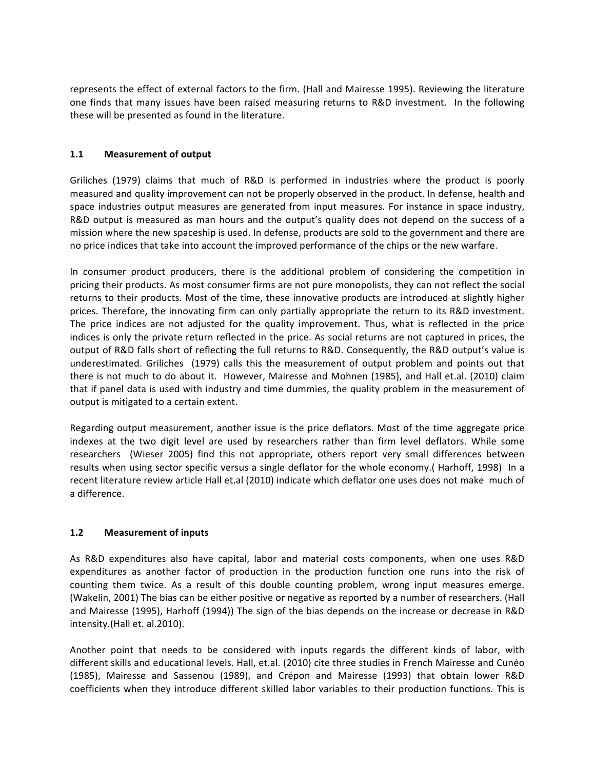represents the effect of external factors to the firm. (Hall and Mairesse 1995). Reviewing the literature one finds that many issues have been raised measuring returns to R&D investment. In the following these will be presented as found in the literature.

#### **1.1** Measurement of output

Griliches (1979) claims that much of R&D is performed in industries where the product is poorly measured and quality improvement can not be properly observed in the product. In defense, health and space industries output measures are generated from input measures. For instance in space industry, R&D output is measured as man hours and the output's quality does not depend on the success of a mission where the new spaceship is used. In defense, products are sold to the government and there are no price indices that take into account the improved performance of the chips or the new warfare.

In consumer product producers, there is the additional problem of considering the competition in pricing their products. As most consumer firms are not pure monopolists, they can not reflect the social returns to their products. Most of the time, these innovative products are introduced at slightly higher prices. Therefore, the innovating firm can only partially appropriate the return to its R&D investment. The price indices are not adjusted for the quality improvement. Thus, what is reflected in the price indices is only the private return reflected in the price. As social returns are not captured in prices, the output of R&D falls short of reflecting the full returns to R&D. Consequently, the R&D output's value is underestimated. Griliches (1979) calls this the measurement of output problem and points out that there is not much to do about it. However, Mairesse and Mohnen (1985), and Hall et.al. (2010) claim that if panel data is used with industry and time dummies, the quality problem in the measurement of output is mitigated to a certain extent.

Regarding output measurement, another issue is the price deflators. Most of the time aggregate price indexes at the two digit level are used by researchers rather than firm level deflators. While some researchers (Wieser 2005) find this not appropriate, others report very small differences between results when using sector specific versus a single deflator for the whole economy.( Harhoff, 1998) In a recent literature review article Hall et.al (2010) indicate which deflator one uses does not make much of a difference.

#### **1.2** Measurement of inputs

As R&D expenditures also have capital, labor and material costs components, when one uses R&D expenditures as another factor of production in the production function one runs into the risk of counting them twice. As a result of this double counting problem, wrong input measures emerge. (Wakelin, 2001) The bias can be either positive or negative as reported by a number of researchers. (Hall and Mairesse (1995), Harhoff (1994)) The sign of the bias depends on the increase or decrease in R&D intensity.(Hall et. al.2010).

Another point that needs to be considered with inputs regards the different kinds of labor, with different skills and educational levels. Hall, et.al. (2010) cite three studies in French Mairesse and Cunéo (1985), Mairesse and Sassenou (1989), and Crépon and Mairesse (1993) that obtain lower R&D coefficients when they introduce different skilled labor variables to their production functions. This is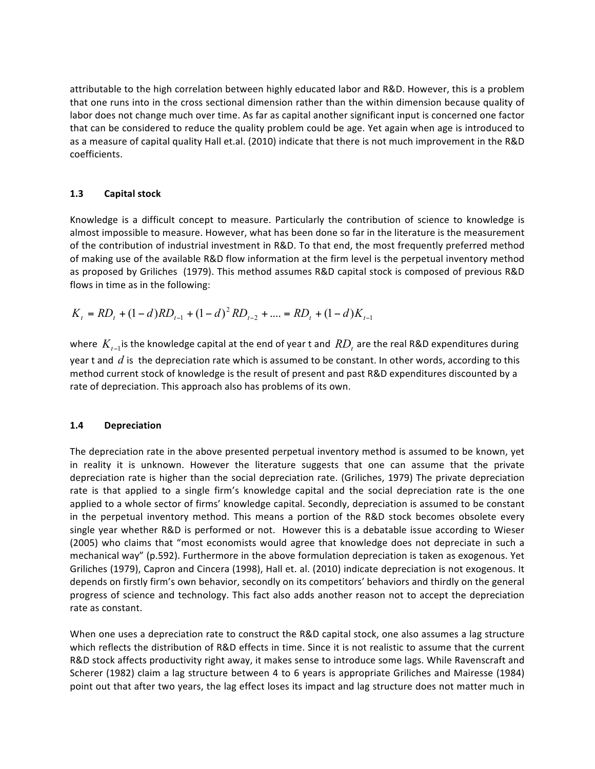attributable to the high correlation between highly educated labor and R&D. However, this is a problem that one runs into in the cross sectional dimension rather than the within dimension because quality of labor does not change much over time. As far as capital another significant input is concerned one factor that can be considered to reduce the quality problem could be age. Yet again when age is introduced to as a measure of capital quality Hall et.al. (2010) indicate that there is not much improvement in the R&D coefficients. 

#### **1.3 Capital stock**

Knowledge is a difficult concept to measure. Particularly the contribution of science to knowledge is almost impossible to measure. However, what has been done so far in the literature is the measurement of the contribution of industrial investment in R&D. To that end, the most frequently preferred method of making use of the available R&D flow information at the firm level is the perpetual inventory method as proposed by Griliches (1979). This method assumes R&D capital stock is composed of previous R&D flows in time as in the following:

$$
K_t = RD_t + (1-d)RD_{t-1} + (1-d)^2 RD_{t-2} + \dots = RD_t + (1-d)K_{t-1}
$$

where  $K_{t-1}$  is the knowledge capital at the end of year t and  $RD_t$  are the real R&D expenditures during year t and  $d$  is the depreciation rate which is assumed to be constant. In other words, according to this method current stock of knowledge is the result of present and past R&D expenditures discounted by a rate of depreciation. This approach also has problems of its own.

#### **1.4 Depreciation**

The depreciation rate in the above presented perpetual inventory method is assumed to be known, yet in reality it is unknown. However the literature suggests that one can assume that the private depreciation rate is higher than the social depreciation rate. (Griliches, 1979) The private depreciation rate is that applied to a single firm's knowledge capital and the social depreciation rate is the one applied to a whole sector of firms' knowledge capital. Secondly, depreciation is assumed to be constant in the perpetual inventory method. This means a portion of the R&D stock becomes obsolete every single year whether R&D is performed or not. However this is a debatable issue according to Wieser (2005) who claims that "most economists would agree that knowledge does not depreciate in such a mechanical way" (p.592). Furthermore in the above formulation depreciation is taken as exogenous. Yet Griliches (1979), Capron and Cincera (1998), Hall et. al. (2010) indicate depreciation is not exogenous. It depends on firstly firm's own behavior, secondly on its competitors' behaviors and thirdly on the general progress of science and technology. This fact also adds another reason not to accept the depreciation rate as constant.

When one uses a depreciation rate to construct the R&D capital stock, one also assumes a lag structure which reflects the distribution of R&D effects in time. Since it is not realistic to assume that the current R&D stock affects productivity right away, it makes sense to introduce some lags. While Ravenscraft and Scherer (1982) claim a lag structure between 4 to 6 years is appropriate Griliches and Mairesse (1984) point out that after two years, the lag effect loses its impact and lag structure does not matter much in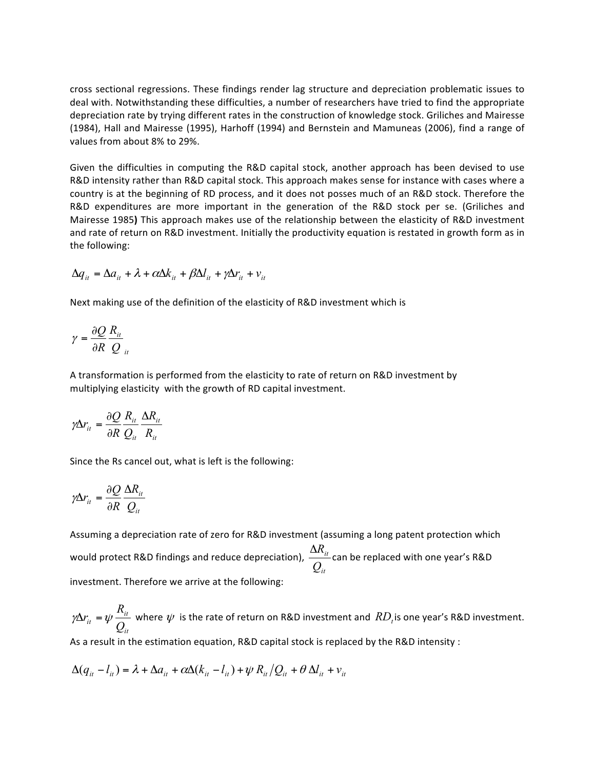cross sectional regressions. These findings render lag structure and depreciation problematic issues to deal with. Notwithstanding these difficulties, a number of researchers have tried to find the appropriate depreciation rate by trying different rates in the construction of knowledge stock. Griliches and Mairesse (1984), Hall and Mairesse (1995), Harhoff (1994) and Bernstein and Mamuneas (2006), find a range of values from about 8% to 29%.

Given the difficulties in computing the R&D capital stock, another approach has been devised to use R&D intensity rather than R&D capital stock. This approach makes sense for instance with cases where a country is at the beginning of RD process, and it does not posses much of an R&D stock. Therefore the R&D expenditures are more important in the generation of the R&D stock per se. (Griliches and Mairesse 1985) This approach makes use of the relationship between the elasticity of R&D investment and rate of return on R&D investment. Initially the productivity equation is restated in growth form as in the following:

$$
\Delta q_{it} = \Delta a_{it} + \lambda + \alpha \Delta k_{it} + \beta \Delta l_{it} + \gamma \Delta r_{it} + v_{it}
$$

Next making use of the definition of the elasticity of R&D investment which is

$$
\gamma = \frac{\partial Q}{\partial R} \frac{R_{it}}{Q_{it}}
$$

A transformation is performed from the elasticity to rate of return on R&D investment by multiplying elasticity with the growth of RD capital investment.

$$
\gamma \Delta r_{it} = \frac{\partial Q}{\partial R} \frac{R_{it}}{Q_{it}} \frac{\Delta R_{it}}{R_{it}}
$$

Since the Rs cancel out, what is left is the following:

$$
\gamma \Delta r_{it} = \frac{\partial Q}{\partial R} \frac{\Delta R_{it}}{Q_{it}}
$$

Assuming a depreciation rate of zero for R&D investment (assuming a long patent protection which would protect R&D findings and reduce depreciation), *it it Q*  $\Delta R_{it}$  can be replaced with one year's R&D investment. Therefore we arrive at the following:

*it it it Q R*  $\gamma\Delta r_{it} = \psi \frac{R_{it}}{Q}$  where  $\psi$  is the rate of return on R&D investment and  $RD_t$  is one year's R&D investment.

As a result in the estimation equation, R&D capital stock is replaced by the R&D intensity :

$$
\Delta(q_{it} - l_{it}) = \lambda + \Delta a_{it} + \alpha \Delta (k_{it} - l_{it}) + \psi R_{it} / Q_{it} + \theta \Delta l_{it} + v_{it}
$$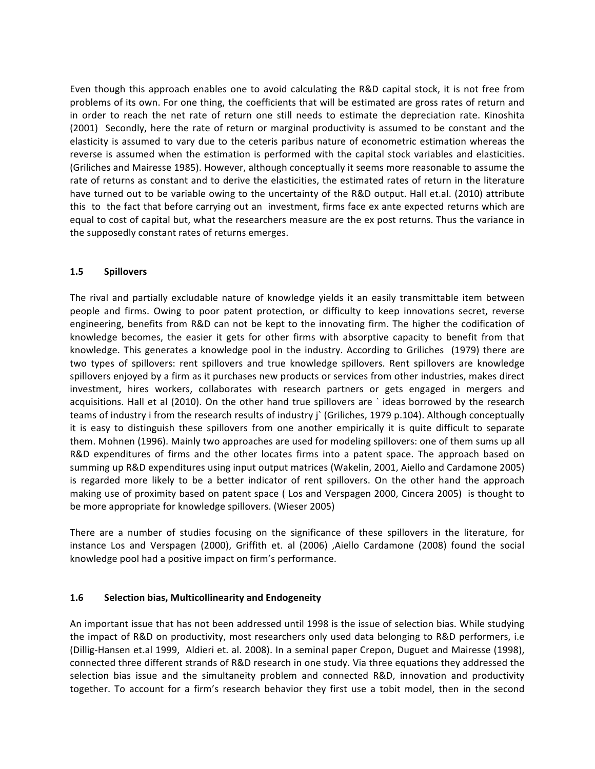Even though this approach enables one to avoid calculating the R&D capital stock, it is not free from problems of its own. For one thing, the coefficients that will be estimated are gross rates of return and in order to reach the net rate of return one still needs to estimate the depreciation rate. Kinoshita (2001) Secondly, here the rate of return or marginal productivity is assumed to be constant and the elasticity is assumed to vary due to the ceteris paribus nature of econometric estimation whereas the reverse is assumed when the estimation is performed with the capital stock variables and elasticities. (Griliches and Mairesse 1985). However, although conceptually it seems more reasonable to assume the rate of returns as constant and to derive the elasticities, the estimated rates of return in the literature have turned out to be variable owing to the uncertainty of the R&D output. Hall et.al. (2010) attribute this to the fact that before carrying out an investment, firms face ex ante expected returns which are equal to cost of capital but, what the researchers measure are the ex post returns. Thus the variance in the supposedly constant rates of returns emerges.

#### **1.5 Spillovers**

The rival and partially excludable nature of knowledge yields it an easily transmittable item between people and firms. Owing to poor patent protection, or difficulty to keep innovations secret, reverse engineering, benefits from R&D can not be kept to the innovating firm. The higher the codification of knowledge becomes, the easier it gets for other firms with absorptive capacity to benefit from that knowledge. This generates a knowledge pool in the industry. According to Griliches (1979) there are two types of spillovers: rent spillovers and true knowledge spillovers. Rent spillovers are knowledge spillovers enjoyed by a firm as it purchases new products or services from other industries, makes direct investment, hires workers, collaborates with research partners or gets engaged in mergers and acquisitions. Hall et al (2010). On the other hand true spillovers are `ideas borrowed by the research teams of industry i from the research results of industry j` (Griliches, 1979 p.104). Although conceptually it is easy to distinguish these spillovers from one another empirically it is quite difficult to separate them. Mohnen (1996). Mainly two approaches are used for modeling spillovers: one of them sums up all R&D expenditures of firms and the other locates firms into a patent space. The approach based on summing up R&D expenditures using input output matrices (Wakelin, 2001, Aiello and Cardamone 2005) is regarded more likely to be a better indicator of rent spillovers. On the other hand the approach making use of proximity based on patent space (Los and Verspagen 2000, Cincera 2005) is thought to be more appropriate for knowledge spillovers. (Wieser 2005)

There are a number of studies focusing on the significance of these spillovers in the literature, for instance Los and Verspagen (2000), Griffith et. al (2006) ,Aiello Cardamone (2008) found the social knowledge pool had a positive impact on firm's performance.

#### **1.6 Selection bias, Multicollinearity and Endogeneity**

An important issue that has not been addressed until 1998 is the issue of selection bias. While studying the impact of R&D on productivity, most researchers only used data belonging to R&D performers, i.e. (Dillig-Hansen et.al 1999, Aldieri et. al. 2008). In a seminal paper Crepon, Duguet and Mairesse (1998), connected three different strands of R&D research in one study. Via three equations they addressed the selection bias issue and the simultaneity problem and connected R&D, innovation and productivity together. To account for a firm's research behavior they first use a tobit model, then in the second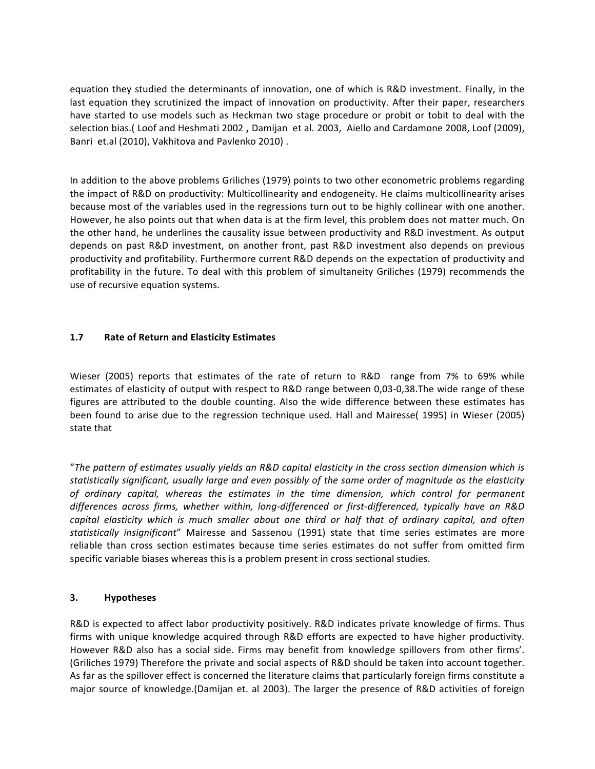equation they studied the determinants of innovation, one of which is R&D investment. Finally, in the last equation they scrutinized the impact of innovation on productivity. After their paper, researchers have started to use models such as Heckman two stage procedure or probit or tobit to deal with the selection bias.( Loof and Heshmati 2002 , Damijan et al. 2003, Aiello and Cardamone 2008, Loof (2009), Banri et.al (2010), Vakhitova and Pavlenko 2010).

In addition to the above problems Griliches (1979) points to two other econometric problems regarding the impact of R&D on productivity: Multicollinearity and endogeneity. He claims multicollinearity arises because most of the variables used in the regressions turn out to be highly collinear with one another. However, he also points out that when data is at the firm level, this problem does not matter much. On the other hand, he underlines the causality issue between productivity and R&D investment. As output depends on past R&D investment, on another front, past R&D investment also depends on previous productivity and profitability. Furthermore current R&D depends on the expectation of productivity and profitability in the future. To deal with this problem of simultaneity Griliches (1979) recommends the use of recursive equation systems.

#### **1.7 Rate of Return and Elasticity Estimates**

Wieser (2005) reports that estimates of the rate of return to R&D range from 7% to 69% while estimates of elasticity of output with respect to R&D range between 0,03-0,38.The wide range of these figures are attributed to the double counting. Also the wide difference between these estimates has been found to arise due to the regression technique used. Hall and Mairesse( 1995) in Wieser (2005) state that

"*The pattern of estimates usually yields an R&D capital elasticity in the cross section dimension which is*  statistically significant, usually large and even possibly of the same order of magnitude as the elasticity of ordinary capital, whereas the estimates in the time dimension, which control for permanent *differences across firms, whether within, long-differenced or first-differenced, typically have an R&D capital elasticity which is much smaller about one third or half that of ordinary capital, and often* statistically insignificant" Mairesse and Sassenou (1991) state that time series estimates are more reliable than cross section estimates because time series estimates do not suffer from omitted firm specific variable biases whereas this is a problem present in cross sectional studies.

#### **3. Hypotheses**

R&D is expected to affect labor productivity positively. R&D indicates private knowledge of firms. Thus firms with unique knowledge acquired through R&D efforts are expected to have higher productivity. However R&D also has a social side. Firms may benefit from knowledge spillovers from other firms'. (Griliches 1979) Therefore the private and social aspects of R&D should be taken into account together. As far as the spillover effect is concerned the literature claims that particularly foreign firms constitute a major source of knowledge.(Damijan et. al 2003). The larger the presence of R&D activities of foreign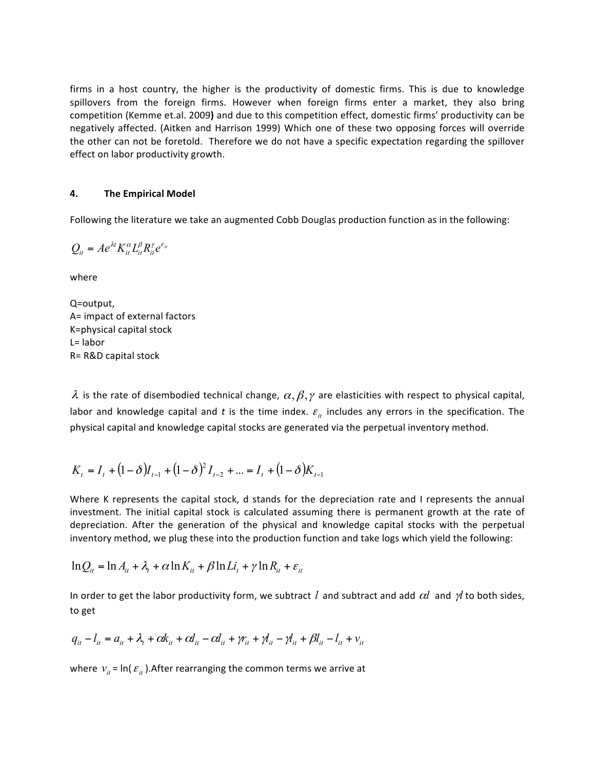firms in a host country, the higher is the productivity of domestic firms. This is due to knowledge spillovers from the foreign firms. However when foreign firms enter a market, they also bring competition (Kemme et.al. 2009) and due to this competition effect, domestic firms' productivity can be negatively affected. (Aitken and Harrison 1999) Which one of these two opposing forces will override the other can not be foretold. Therefore we do not have a specific expectation regarding the spillover effect on labor productivity growth.

#### **4.** The Empirical Model

Following the literature we take an augmented Cobb Douglas production function as in the following:

$$
Q_{it} = Ae^{\lambda t} K_{it}^{\alpha} L_{it}^{\beta} R_{it}^{\gamma} e^{\varepsilon_{it}}
$$

where 

Q=output, A= impact of external factors K=physical capital stock L= labor R= R&D capital stock

λ is the rate of disembodied technical change,  $\alpha, \beta, \gamma$  are elasticities with respect to physical capital, labor and knowledge capital and t is the time index.  $\varepsilon$ <sub>it</sub> includes any errors in the specification. The physical capital and knowledge capital stocks are generated via the perpetual inventory method.

$$
K_{t} = I_{t} + (1 - \delta)I_{t-1} + (1 - \delta)^{2}I_{t-2} + ... = I_{t} + (1 - \delta)K_{t-1}
$$

Where K represents the capital stock, d stands for the depreciation rate and I represents the annual investment. The initial capital stock is calculated assuming there is permanent growth at the rate of depreciation. After the generation of the physical and knowledge capital stocks with the perpetual inventory method, we plug these into the production function and take logs which yield the following:

$$
\ln Q_{it} = \ln A_{it} + \lambda_t + \alpha \ln K_{it} + \beta \ln Li_t + \gamma \ln R_{it} + \varepsilon_{it}
$$

In order to get the labor productivity form, we subtract *l* and subtract and add  $\alpha l$  and  $\gamma l$  to both sides, to get

$$
q_{it} - l_{it} = a_{it} + \lambda_t + \alpha k_{it} + \alpha l_{it} - \alpha l_{it} + \gamma r_{it} + \gamma l_{it} - \gamma l_{it} + \beta l_{it} - l_{it} + \nu_{it}
$$

where  $v_{it}$  =  $\ln(\varepsilon_{it})$ . After rearranging the common terms we arrive at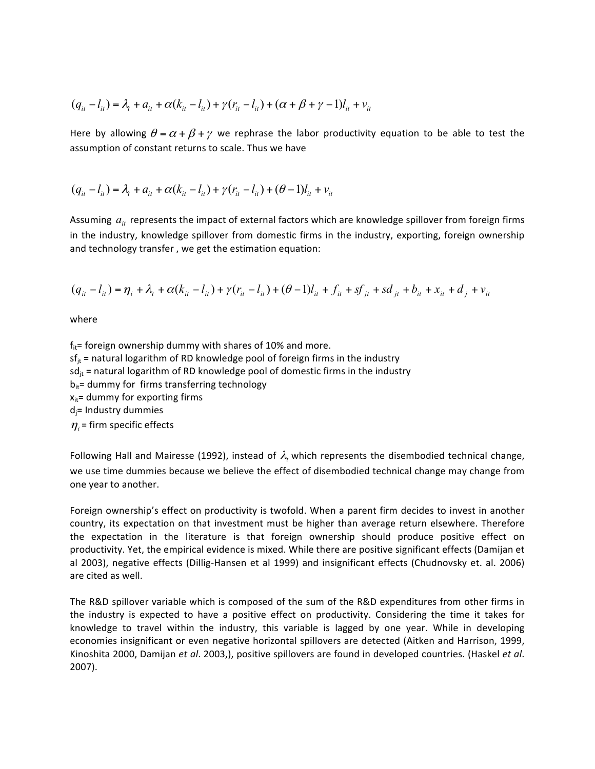$$
(q_{ii} - l_{ii}) = \lambda_t + a_{ii} + \alpha (k_{ii} - l_{ii}) + \gamma (r_{ii} - l_{ii}) + (\alpha + \beta + \gamma - 1)l_{ii} + v_{ii}
$$

Here by allowing  $\theta = \alpha + \beta + \gamma$  we rephrase the labor productivity equation to be able to test the assumption of constant returns to scale. Thus we have

$$
(q_{it} - l_{it}) = \lambda_t + a_{it} + \alpha (k_{it} - l_{it}) + \gamma (r_{it} - l_{it}) + (\theta - 1)l_{it} + v_{it}
$$

Assuming  $a_{it}$  represents the impact of external factors which are knowledge spillover from foreign firms in the industry, knowledge spillover from domestic firms in the industry, exporting, foreign ownership and technology transfer, we get the estimation equation:

$$
(q_{it} - l_{it}) = \eta_i + \lambda_t + \alpha (k_{it} - l_{it}) + \gamma (r_{it} - l_{it}) + (\theta - 1)l_{it} + f_{it} + sf_{it} + sd_{it} + b_{it} + x_{it} + d_{it} + v_{it}
$$

where 

 $f_{it}$  = foreign ownership dummy with shares of 10% and more.  $sf_{it}$  = natural logarithm of RD knowledge pool of foreign firms in the industry  $sd_{it}$  = natural logarithm of RD knowledge pool of domestic firms in the industry  $b_{it}$ = dummy for firms transferring technology  $x_{it}$  = dummy for exporting firms  $d_i$ = Industry dummies  $\eta_i$  = firm specific effects

Following Hall and Mairesse (1992), instead of  $\lambda$ , which represents the disembodied technical change, we use time dummies because we believe the effect of disembodied technical change may change from one year to another.

Foreign ownership's effect on productivity is twofold. When a parent firm decides to invest in another country, its expectation on that investment must be higher than average return elsewhere. Therefore the expectation in the literature is that foreign ownership should produce positive effect on productivity. Yet, the empirical evidence is mixed. While there are positive significant effects (Damijan et al 2003), negative effects (Dillig-Hansen et al 1999) and insignificant effects (Chudnovsky et. al. 2006) are cited as well.

The R&D spillover variable which is composed of the sum of the R&D expenditures from other firms in the industry is expected to have a positive effect on productivity. Considering the time it takes for knowledge to travel within the industry, this variable is lagged by one year. While in developing economies insignificant or even negative horizontal spillovers are detected (Aitken and Harrison, 1999, Kinoshita 2000, Damijan et al. 2003,), positive spillovers are found in developed countries. (Haskel et al. 2007).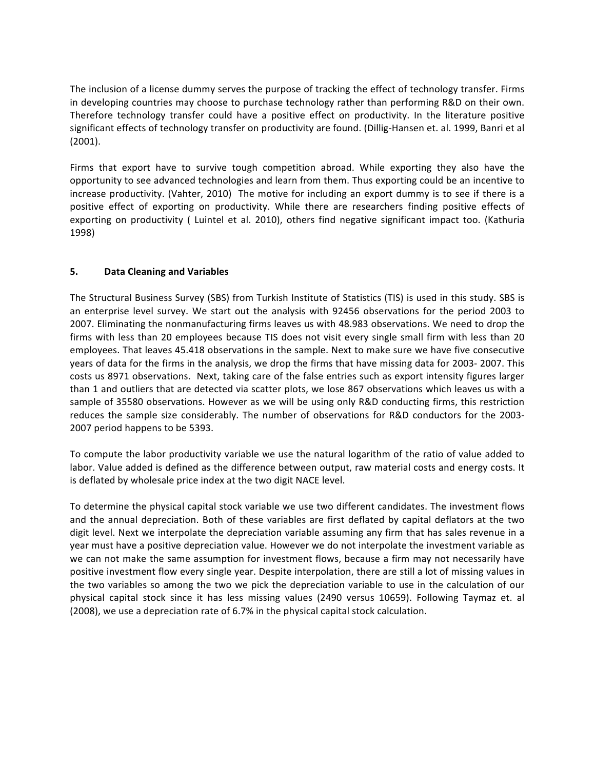The inclusion of a license dummy serves the purpose of tracking the effect of technology transfer. Firms in developing countries may choose to purchase technology rather than performing R&D on their own. Therefore technology transfer could have a positive effect on productivity. In the literature positive significant effects of technology transfer on productivity are found. (Dillig-Hansen et. al. 1999, Banri et al (2001).

Firms that export have to survive tough competition abroad. While exporting they also have the opportunity to see advanced technologies and learn from them. Thus exporting could be an incentive to increase productivity. (Vahter, 2010) The motive for including an export dummy is to see if there is a positive effect of exporting on productivity. While there are researchers finding positive effects of exporting on productivity ( Luintel et al. 2010), others find negative significant impact too. (Kathuria 1998)

#### **5. Data Cleaning and Variables**

The Structural Business Survey (SBS) from Turkish Institute of Statistics (TIS) is used in this study. SBS is an enterprise level survey. We start out the analysis with 92456 observations for the period 2003 to 2007. Eliminating the nonmanufacturing firms leaves us with 48.983 observations. We need to drop the firms with less than 20 employees because TIS does not visit every single small firm with less than 20 employees. That leaves 45.418 observations in the sample. Next to make sure we have five consecutive years of data for the firms in the analysis, we drop the firms that have missing data for 2003- 2007. This costs us 8971 observations. Next, taking care of the false entries such as export intensity figures larger than 1 and outliers that are detected via scatter plots, we lose 867 observations which leaves us with a sample of 35580 observations. However as we will be using only R&D conducting firms, this restriction reduces the sample size considerably. The number of observations for R&D conductors for the 2003-2007 period happens to be 5393.

To compute the labor productivity variable we use the natural logarithm of the ratio of value added to labor. Value added is defined as the difference between output, raw material costs and energy costs. It is deflated by wholesale price index at the two digit NACE level.

To determine the physical capital stock variable we use two different candidates. The investment flows and the annual depreciation. Both of these variables are first deflated by capital deflators at the two digit level. Next we interpolate the depreciation variable assuming any firm that has sales revenue in a year must have a positive depreciation value. However we do not interpolate the investment variable as we can not make the same assumption for investment flows, because a firm may not necessarily have positive investment flow every single year. Despite interpolation, there are still a lot of missing values in the two variables so among the two we pick the depreciation variable to use in the calculation of our physical capital stock since it has less missing values (2490 versus 10659). Following Taymaz et. al (2008), we use a depreciation rate of 6.7% in the physical capital stock calculation.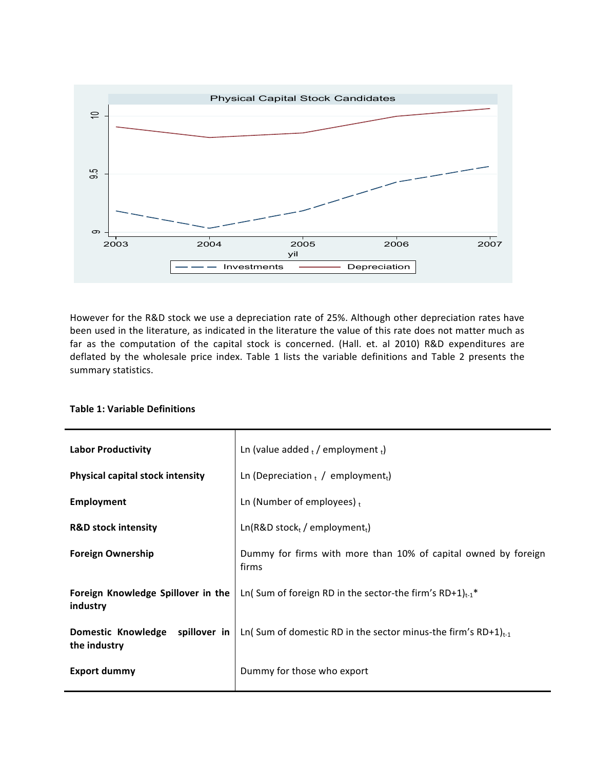

However for the R&D stock we use a depreciation rate of 25%. Although other depreciation rates have been used in the literature, as indicated in the literature the value of this rate does not matter much as far as the computation of the capital stock is concerned. (Hall. et. al 2010) R&D expenditures are deflated by the wholesale price index. Table 1 lists the variable definitions and Table 2 presents the summary statistics.

| <b>Labor Productivity</b>                          | Ln (value added $_1$ / employment $_1$ )                                         |
|----------------------------------------------------|----------------------------------------------------------------------------------|
| <b>Physical capital stock intensity</b>            | Ln (Depreciation $_{t}$ / employment <sub>t</sub> )                              |
| <b>Employment</b>                                  | Ln (Number of employees) $t$                                                     |
| <b>R&amp;D stock intensity</b>                     | $Ln(R&Dstockt/employmentt)$                                                      |
| <b>Foreign Ownership</b>                           | Dummy for firms with more than 10% of capital owned by foreign<br>firms          |
| Foreign Knowledge Spillover in the<br>industry     | Ln( Sum of foreign RD in the sector-the firm's RD+1) <sub>t-1</sub> <sup>*</sup> |
| spillover in<br>Domestic Knowledge<br>the industry | Ln( Sum of domestic RD in the sector minus-the firm's RD+1) $_{t-1}$             |
| Export dummy                                       | Dummy for those who export                                                       |

#### **Table 1: Variable Definitions**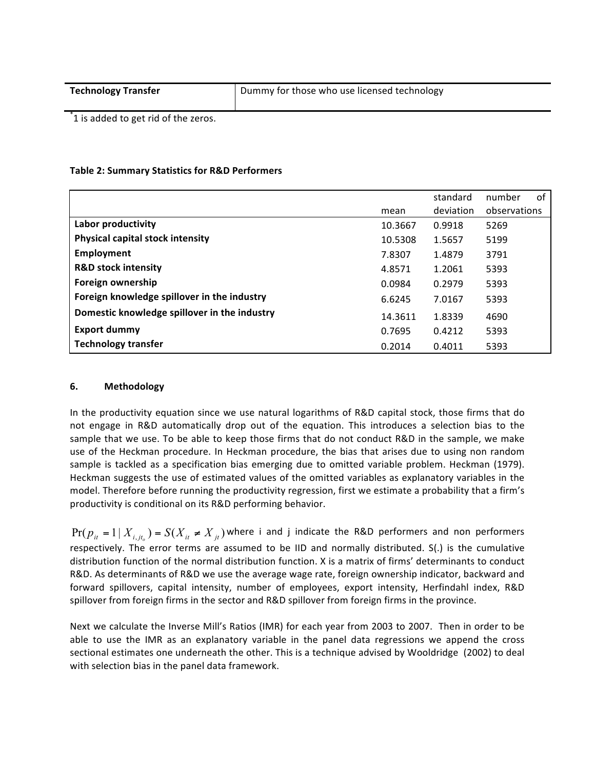| <b>Technology Transfer</b> | Dummy for those who use licensed technology |
|----------------------------|---------------------------------------------|
|----------------------------|---------------------------------------------|

\*1 is added to get rid of the zeros.

#### **Table 2: Summary Statistics for R&D Performers**

|                                              |         | standard  | of<br>number |
|----------------------------------------------|---------|-----------|--------------|
|                                              | mean    | deviation | observations |
| Labor productivity                           | 10.3667 | 0.9918    | 5269         |
| Physical capital stock intensity             | 10.5308 | 1.5657    | 5199         |
| Employment                                   | 7.8307  | 1.4879    | 3791         |
| <b>R&amp;D stock intensity</b>               | 4.8571  | 1.2061    | 5393         |
| Foreign ownership                            | 0.0984  | 0.2979    | 5393         |
| Foreign knowledge spillover in the industry  | 6.6245  | 7.0167    | 5393         |
| Domestic knowledge spillover in the industry | 14.3611 | 1.8339    | 4690         |
| <b>Export dummy</b>                          | 0.7695  | 0.4212    | 5393         |
| <b>Technology transfer</b>                   | 0.2014  | 0.4011    | 5393         |

#### **6. Methodology**

In the productivity equation since we use natural logarithms of R&D capital stock, those firms that do not engage in R&D automatically drop out of the equation. This introduces a selection bias to the sample that we use. To be able to keep those firms that do not conduct R&D in the sample, we make use of the Heckman procedure. In Heckman procedure, the bias that arises due to using non random sample is tackled as a specification bias emerging due to omitted variable problem. Heckman (1979). Heckman suggests the use of estimated values of the omitted variables as explanatory variables in the model. Therefore before running the productivity regression, first we estimate a probability that a firm's productivity is conditional on its R&D performing behavior.

 $Pr(p_{it} = 1 | X_{i, it} ) = S(X_{it} \neq X_{it})$  where i and j indicate the R&D performers and non performers respectively. The error terms are assumed to be IID and normally distributed. S(.) is the cumulative distribution function of the normal distribution function. X is a matrix of firms' determinants to conduct R&D. As determinants of R&D we use the average wage rate, foreign ownership indicator, backward and forward spillovers, capital intensity, number of employees, export intensity, Herfindahl index, R&D spillover from foreign firms in the sector and R&D spillover from foreign firms in the province.

Next we calculate the Inverse Mill's Ratios (IMR) for each year from 2003 to 2007. Then in order to be able to use the IMR as an explanatory variable in the panel data regressions we append the cross sectional estimates one underneath the other. This is a technique advised by Wooldridge (2002) to deal with selection bias in the panel data framework.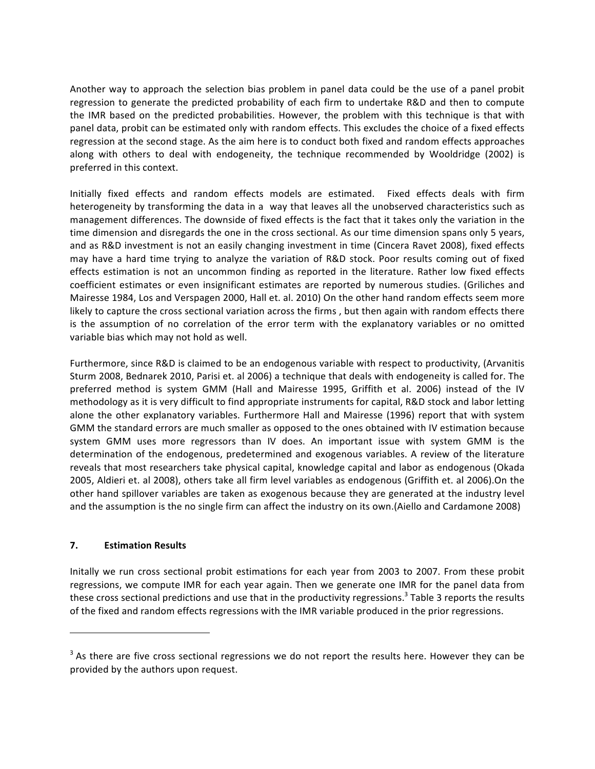Another way to approach the selection bias problem in panel data could be the use of a panel probit regression to generate the predicted probability of each firm to undertake R&D and then to compute the IMR based on the predicted probabilities. However, the problem with this technique is that with panel data, probit can be estimated only with random effects. This excludes the choice of a fixed effects regression at the second stage. As the aim here is to conduct both fixed and random effects approaches along with others to deal with endogeneity, the technique recommended by Wooldridge (2002) is preferred in this context.

Initially fixed effects and random effects models are estimated. Fixed effects deals with firm heterogeneity by transforming the data in a way that leaves all the unobserved characteristics such as management differences. The downside of fixed effects is the fact that it takes only the variation in the time dimension and disregards the one in the cross sectional. As our time dimension spans only 5 years, and as R&D investment is not an easily changing investment in time (Cincera Ravet 2008), fixed effects may have a hard time trying to analyze the variation of R&D stock. Poor results coming out of fixed effects estimation is not an uncommon finding as reported in the literature. Rather low fixed effects coefficient estimates or even insignificant estimates are reported by numerous studies. (Griliches and Mairesse 1984, Los and Verspagen 2000, Hall et. al. 2010) On the other hand random effects seem more likely to capture the cross sectional variation across the firms, but then again with random effects there is the assumption of no correlation of the error term with the explanatory variables or no omitted variable bias which may not hold as well.

Furthermore, since R&D is claimed to be an endogenous variable with respect to productivity, (Arvanitis Sturm 2008, Bednarek 2010, Parisi et. al 2006) a technique that deals with endogeneity is called for. The preferred method is system GMM (Hall and Mairesse 1995, Griffith et al. 2006) instead of the IV methodology as it is very difficult to find appropriate instruments for capital, R&D stock and labor letting alone the other explanatory variables. Furthermore Hall and Mairesse (1996) report that with system GMM the standard errors are much smaller as opposed to the ones obtained with IV estimation because system GMM uses more regressors than IV does. An important issue with system GMM is the determination of the endogenous, predetermined and exogenous variables. A review of the literature reveals that most researchers take physical capital, knowledge capital and labor as endogenous (Okada 2005, Aldieri et. al 2008), others take all firm level variables as endogenous (Griffith et. al 2006).On the other hand spillover variables are taken as exogenous because they are generated at the industry level and the assumption is the no single firm can affect the industry on its own.(Aiello and Cardamone 2008)

#### **7. Estimation Results**

 

Initally we run cross sectional probit estimations for each year from 2003 to 2007. From these probit regressions, we compute IMR for each year again. Then we generate one IMR for the panel data from these cross sectional predictions and use that in the productivity regressions.<sup>3</sup> Table 3 reports the results of the fixed and random effects regressions with the IMR variable produced in the prior regressions.

 $3$  As there are five cross sectional regressions we do not report the results here. However they can be provided by the authors upon request.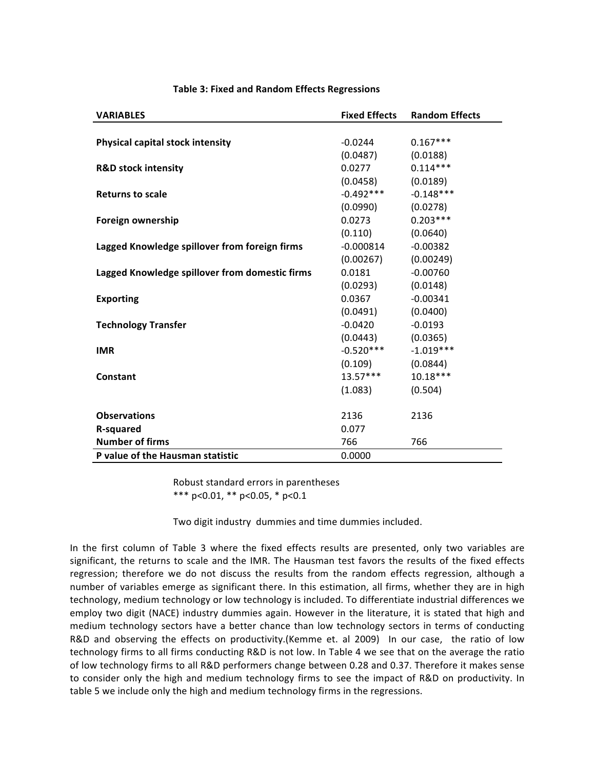| <b>VARIABLES</b>                               | <b>Fixed Effects</b> | <b>Random Effects</b> |
|------------------------------------------------|----------------------|-----------------------|
|                                                |                      |                       |
| Physical capital stock intensity               | $-0.0244$            | $0.167***$            |
|                                                | (0.0487)             | (0.0188)              |
| <b>R&amp;D stock intensity</b>                 | 0.0277               | $0.114***$            |
|                                                | (0.0458)             | (0.0189)              |
| <b>Returns to scale</b>                        | $-0.492***$          | $-0.148***$           |
|                                                | (0.0990)             | (0.0278)              |
| Foreign ownership                              | 0.0273               | $0.203***$            |
|                                                | (0.110)              | (0.0640)              |
| Lagged Knowledge spillover from foreign firms  | $-0.000814$          | $-0.00382$            |
|                                                | (0.00267)            | (0.00249)             |
| Lagged Knowledge spillover from domestic firms | 0.0181               | $-0.00760$            |
|                                                | (0.0293)             | (0.0148)              |
| <b>Exporting</b>                               | 0.0367               | $-0.00341$            |
|                                                | (0.0491)             | (0.0400)              |
| <b>Technology Transfer</b>                     | $-0.0420$            | $-0.0193$             |
|                                                | (0.0443)             | (0.0365)              |
| <b>IMR</b>                                     | $-0.520***$          | $-1.019***$           |
|                                                | (0.109)              | (0.0844)              |
| Constant                                       | $13.57***$           | $10.18***$            |
|                                                | (1.083)              | (0.504)               |
|                                                |                      |                       |
| <b>Observations</b>                            | 2136                 | 2136                  |
| <b>R-squared</b>                               | 0.077                |                       |
| <b>Number of firms</b>                         | 766                  | 766                   |
| P value of the Hausman statistic               | 0.0000               |                       |

#### **Table 3: Fixed and Random Effects Regressions**

Robust standard errors in parentheses \*\*\*  $p<0.01$ , \*\*  $p<0.05$ , \*  $p<0.1$ 

Two digit industry dummies and time dummies included.

In the first column of Table 3 where the fixed effects results are presented, only two variables are significant, the returns to scale and the IMR. The Hausman test favors the results of the fixed effects regression; therefore we do not discuss the results from the random effects regression, although a number of variables emerge as significant there. In this estimation, all firms, whether they are in high technology, medium technology or low technology is included. To differentiate industrial differences we employ two digit (NACE) industry dummies again. However in the literature, it is stated that high and medium technology sectors have a better chance than low technology sectors in terms of conducting R&D and observing the effects on productivity.(Kemme et. al 2009) In our case, the ratio of low technology firms to all firms conducting R&D is not low. In Table 4 we see that on the average the ratio of low technology firms to all R&D performers change between 0.28 and 0.37. Therefore it makes sense to consider only the high and medium technology firms to see the impact of R&D on productivity. In table 5 we include only the high and medium technology firms in the regressions.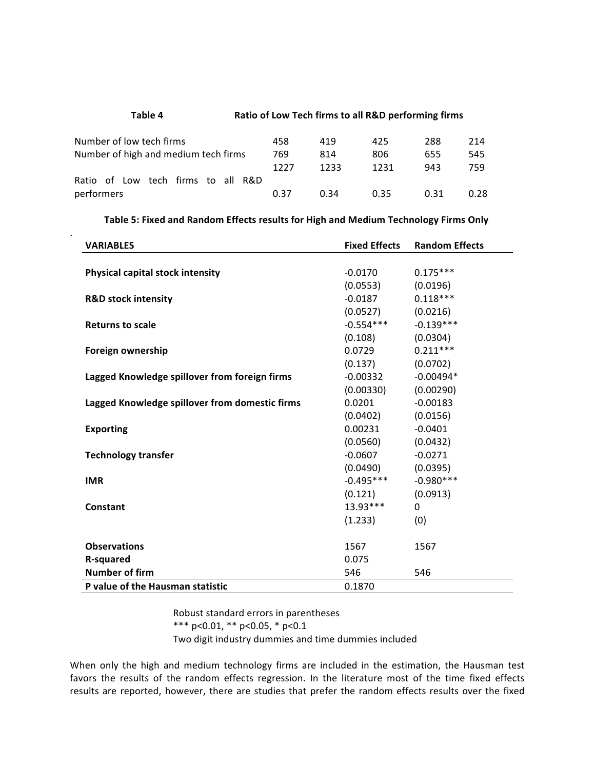## Table 4 **Ratio of Low Tech firms to all R&D performing firms** Number of low tech firms  $458$   $419$   $425$   $288$   $214$ Number of high and medium tech firms 769 814 806 655 545 1227 1233 1231 943 759 Ratio of Low tech firms to all R&D performers 0.37 0.34 0.35 0.31 0.28

.

#### Table 5: Fixed and Random Effects results for High and Medium Technology Firms Only

| <b>VARIABLES</b>                               | <b>Fixed Effects</b> | <b>Random Effects</b> |
|------------------------------------------------|----------------------|-----------------------|
|                                                |                      |                       |
| Physical capital stock intensity               | $-0.0170$            | $0.175***$            |
|                                                | (0.0553)             | (0.0196)              |
| <b>R&amp;D stock intensity</b>                 | $-0.0187$            | $0.118***$            |
|                                                | (0.0527)             | (0.0216)              |
| <b>Returns to scale</b>                        | $-0.554***$          | $-0.139***$           |
|                                                | (0.108)              | (0.0304)              |
| Foreign ownership                              | 0.0729               | $0.211***$            |
|                                                | (0.137)              | (0.0702)              |
| Lagged Knowledge spillover from foreign firms  | $-0.00332$           | $-0.00494*$           |
|                                                | (0.00330)            | (0.00290)             |
| Lagged Knowledge spillover from domestic firms | 0.0201               | $-0.00183$            |
|                                                | (0.0402)             | (0.0156)              |
| <b>Exporting</b>                               | 0.00231              | $-0.0401$             |
|                                                | (0.0560)             | (0.0432)              |
| <b>Technology transfer</b>                     | $-0.0607$            | $-0.0271$             |
|                                                | (0.0490)             | (0.0395)              |
| <b>IMR</b>                                     | $-0.495***$          | $-0.980***$           |
|                                                | (0.121)              | (0.0913)              |
| Constant                                       | $13.93***$           | $\Omega$              |
|                                                | (1.233)              | (0)                   |
|                                                |                      |                       |
| <b>Observations</b>                            | 1567                 | 1567                  |
| R-squared                                      | 0.075                |                       |
| <b>Number of firm</b>                          | 546                  | 546                   |
| P value of the Hausman statistic               | 0.1870               |                       |

Robust standard errors in parentheses \*\*\*  $p<0.01$ , \*\*  $p<0.05$ , \*  $p<0.1$ Two digit industry dummies and time dummies included

When only the high and medium technology firms are included in the estimation, the Hausman test favors the results of the random effects regression. In the literature most of the time fixed effects results are reported, however, there are studies that prefer the random effects results over the fixed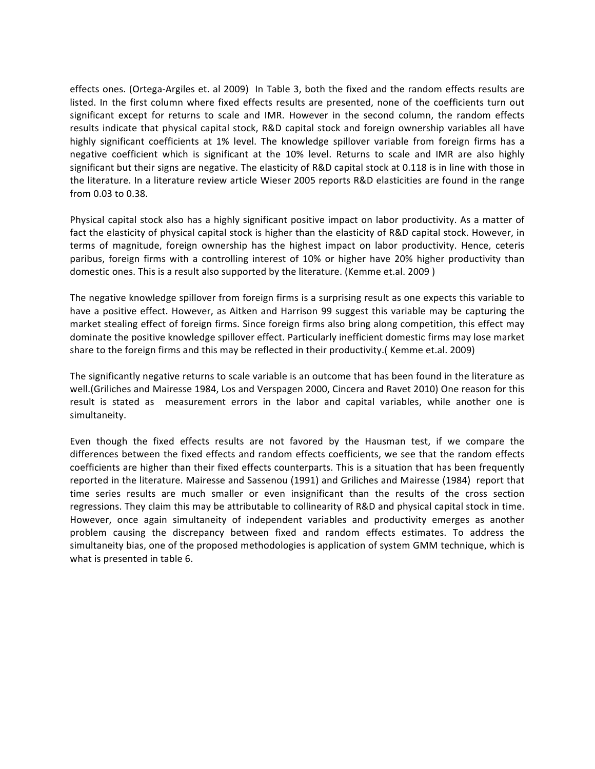effects ones. (Ortega-Argiles et. al 2009) In Table 3, both the fixed and the random effects results are listed. In the first column where fixed effects results are presented, none of the coefficients turn out significant except for returns to scale and IMR. However in the second column, the random effects results indicate that physical capital stock, R&D capital stock and foreign ownership variables all have highly significant coefficients at 1% level. The knowledge spillover variable from foreign firms has a negative coefficient which is significant at the 10% level. Returns to scale and IMR are also highly significant but their signs are negative. The elasticity of R&D capital stock at 0.118 is in line with those in the literature. In a literature review article Wieser 2005 reports R&D elasticities are found in the range from 0.03 to 0.38. 

Physical capital stock also has a highly significant positive impact on labor productivity. As a matter of fact the elasticity of physical capital stock is higher than the elasticity of R&D capital stock. However, in terms of magnitude, foreign ownership has the highest impact on labor productivity. Hence, ceteris paribus, foreign firms with a controlling interest of 10% or higher have 20% higher productivity than domestic ones. This is a result also supported by the literature. (Kemme et.al. 2009)

The negative knowledge spillover from foreign firms is a surprising result as one expects this variable to have a positive effect. However, as Aitken and Harrison 99 suggest this variable may be capturing the market stealing effect of foreign firms. Since foreign firms also bring along competition, this effect may dominate the positive knowledge spillover effect. Particularly inefficient domestic firms may lose market share to the foreign firms and this may be reflected in their productivity.( Kemme et.al. 2009)

The significantly negative returns to scale variable is an outcome that has been found in the literature as well.(Griliches and Mairesse 1984, Los and Verspagen 2000, Cincera and Ravet 2010) One reason for this result is stated as measurement errors in the labor and capital variables, while another one is simultaneity.

Even though the fixed effects results are not favored by the Hausman test, if we compare the differences between the fixed effects and random effects coefficients, we see that the random effects coefficients are higher than their fixed effects counterparts. This is a situation that has been frequently reported in the literature. Mairesse and Sassenou (1991) and Griliches and Mairesse (1984) report that time series results are much smaller or even insignificant than the results of the cross section regressions. They claim this may be attributable to collinearity of R&D and physical capital stock in time. However, once again simultaneity of independent variables and productivity emerges as another problem causing the discrepancy between fixed and random effects estimates. To address the simultaneity bias, one of the proposed methodologies is application of system GMM technique, which is what is presented in table 6.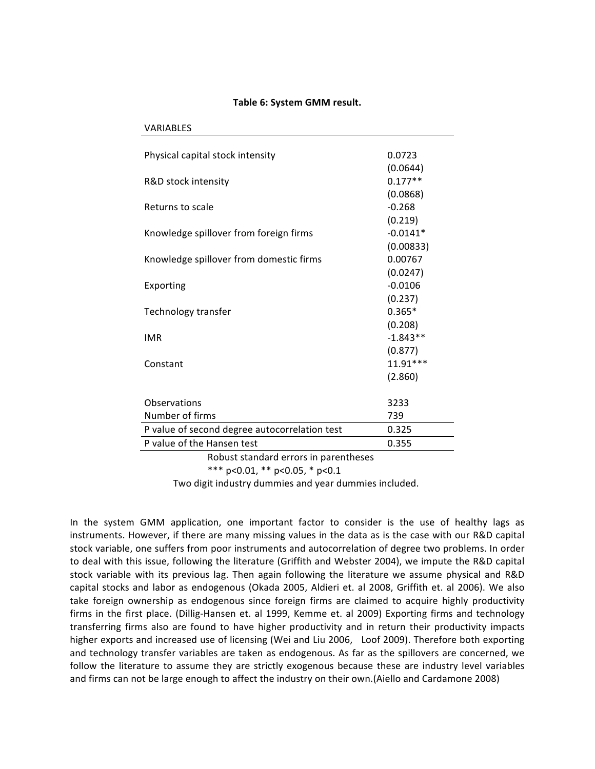#### **Table 6: System GMM result.**

| <b>VARIABLES</b>                              |            |  |
|-----------------------------------------------|------------|--|
|                                               |            |  |
| Physical capital stock intensity              | 0.0723     |  |
|                                               | (0.0644)   |  |
| R&D stock intensity                           | $0.177**$  |  |
|                                               | (0.0868)   |  |
| Returns to scale                              | $-0.268$   |  |
|                                               | (0.219)    |  |
| Knowledge spillover from foreign firms        | $-0.0141*$ |  |
|                                               | (0.00833)  |  |
| Knowledge spillover from domestic firms       | 0.00767    |  |
|                                               | (0.0247)   |  |
| Exporting                                     | $-0.0106$  |  |
|                                               | (0.237)    |  |
| Technology transfer                           | $0.365*$   |  |
|                                               | (0.208)    |  |
| <b>IMR</b>                                    | $-1.843**$ |  |
|                                               | (0.877)    |  |
| Constant                                      | 11.91***   |  |
|                                               | (2.860)    |  |
|                                               |            |  |
| Observations                                  | 3233       |  |
| Number of firms                               | 739        |  |
| P value of second degree autocorrelation test | 0.325      |  |
| P value of the Hansen test                    | 0.355      |  |
| Robust standard errors in parentheses         |            |  |
| $\frac{1}{2}$                                 |            |  |

\*\*\*  $p<0.01$ , \*\*  $p<0.05$ , \*  $p<0.1$ 

Two digit industry dummies and year dummies included.

In the system GMM application, one important factor to consider is the use of healthy lags as instruments. However, if there are many missing values in the data as is the case with our R&D capital stock variable, one suffers from poor instruments and autocorrelation of degree two problems. In order to deal with this issue, following the literature (Griffith and Webster 2004), we impute the R&D capital stock variable with its previous lag. Then again following the literature we assume physical and R&D capital stocks and labor as endogenous (Okada 2005, Aldieri et. al 2008, Griffith et. al 2006). We also take foreign ownership as endogenous since foreign firms are claimed to acquire highly productivity firms in the first place. (Dillig-Hansen et. al 1999, Kemme et. al 2009) Exporting firms and technology transferring firms also are found to have higher productivity and in return their productivity impacts higher exports and increased use of licensing (Wei and Liu 2006, Loof 2009). Therefore both exporting and technology transfer variables are taken as endogenous. As far as the spillovers are concerned, we follow the literature to assume they are strictly exogenous because these are industry level variables and firms can not be large enough to affect the industry on their own.(Aiello and Cardamone 2008)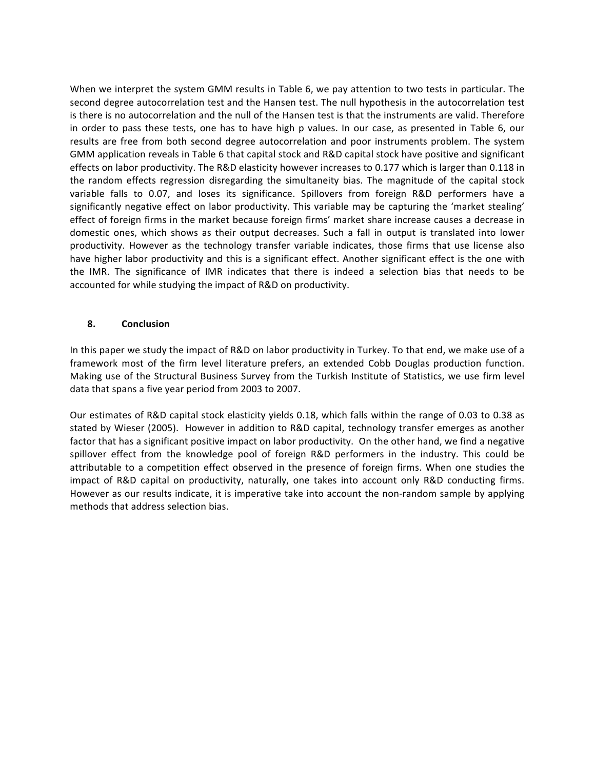When we interpret the system GMM results in Table 6, we pay attention to two tests in particular. The second degree autocorrelation test and the Hansen test. The null hypothesis in the autocorrelation test is there is no autocorrelation and the null of the Hansen test is that the instruments are valid. Therefore in order to pass these tests, one has to have high p values. In our case, as presented in Table 6, our results are free from both second degree autocorrelation and poor instruments problem. The system GMM application reveals in Table 6 that capital stock and R&D capital stock have positive and significant effects on labor productivity. The R&D elasticity however increases to 0.177 which is larger than 0.118 in the random effects regression disregarding the simultaneity bias. The magnitude of the capital stock variable falls to 0.07, and loses its significance. Spillovers from foreign R&D performers have a significantly negative effect on labor productivity. This variable may be capturing the 'market stealing' effect of foreign firms in the market because foreign firms' market share increase causes a decrease in domestic ones, which shows as their output decreases. Such a fall in output is translated into lower productivity. However as the technology transfer variable indicates, those firms that use license also have higher labor productivity and this is a significant effect. Another significant effect is the one with the IMR. The significance of IMR indicates that there is indeed a selection bias that needs to be accounted for while studying the impact of R&D on productivity.

#### **8. Conclusion**

In this paper we study the impact of R&D on labor productivity in Turkey. To that end, we make use of a framework most of the firm level literature prefers, an extended Cobb Douglas production function. Making use of the Structural Business Survey from the Turkish Institute of Statistics, we use firm level data that spans a five year period from 2003 to 2007.

Our estimates of R&D capital stock elasticity yields 0.18, which falls within the range of 0.03 to 0.38 as stated by Wieser (2005). However in addition to R&D capital, technology transfer emerges as another factor that has a significant positive impact on labor productivity. On the other hand, we find a negative spillover effect from the knowledge pool of foreign R&D performers in the industry. This could be attributable to a competition effect observed in the presence of foreign firms. When one studies the impact of R&D capital on productivity, naturally, one takes into account only R&D conducting firms. However as our results indicate, it is imperative take into account the non-random sample by applying methods that address selection bias.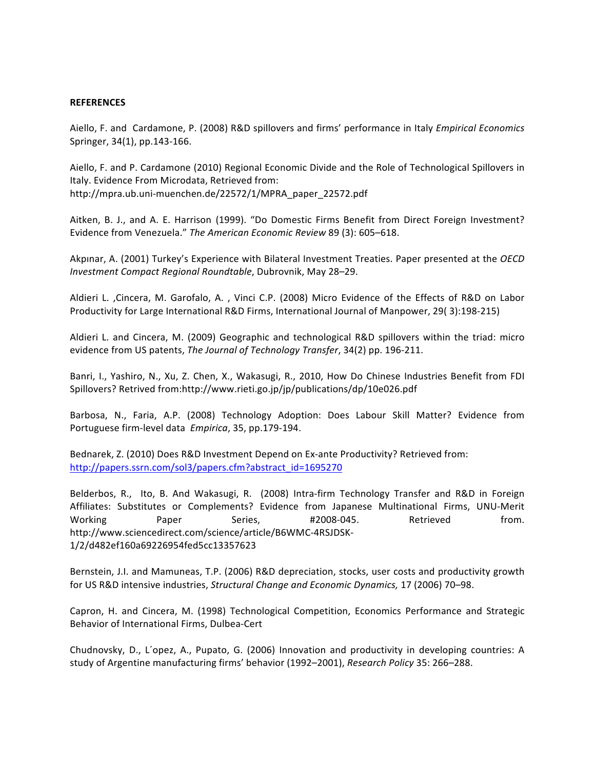#### **REFERENCES**

Aiello, F. and Cardamone, P. (2008) R&D spillovers and firms' performance in Italy *Empirical Economics* Springer, 34(1), pp.143-166.

Aiello, F. and P. Cardamone (2010) Regional Economic Divide and the Role of Technological Spillovers in Italy. Evidence From Microdata, Retrieved from: http://mpra.ub.uni-muenchen.de/22572/1/MPRA\_paper\_22572.pdf

Aitken, B. J., and A. E. Harrison (1999). "Do Domestic Firms Benefit from Direct Foreign Investment? Evidence from Venezuela." The American Economic Review 89 (3): 605–618.

Akpinar, A. (2001) Turkey's Experience with Bilateral Investment Treaties. Paper presented at the *OECD Investment Compact Regional Roundtable*, Dubrovnik, May 28-29.

Aldieri L. ,Cincera, M. Garofalo, A., Vinci C.P. (2008) Micro Evidence of the Effects of R&D on Labor Productivity for Large International R&D Firms, International Journal of Manpower, 29( 3):198-215)

Aldieri L. and Cincera, M. (2009) Geographic and technological R&D spillovers within the triad: micro evidence from US patents, *The Journal of Technology Transfer*, 34(2) pp. 196-211.

Banri, I., Yashiro, N., Xu, Z. Chen, X., Wakasugi, R., 2010, How Do Chinese Industries Benefit from FDI Spillovers? Retrived from:http://www.rieti.go.jp/jp/publications/dp/10e026.pdf

Barbosa, N., Faria, A.P. (2008) Technology Adoption: Does Labour Skill Matter? Evidence from Portuguese firm-level data *Empirica*, 35, pp.179-194.

Bednarek, Z. (2010) Does R&D Investment Depend on Ex-ante Productivity? Retrieved from: http://papers.ssrn.com/sol3/papers.cfm?abstract\_id=1695270

Belderbos, R., Ito, B. And Wakasugi, R. (2008) Intra-firm Technology Transfer and R&D in Foreign Affiliates: Substitutes or Complements? Evidence from Japanese Multinational Firms, UNU-Merit Working **Paper** Series, #2008-045. Retrieved from. http://www.sciencedirect.com/science/article/B6WMC-4RSJDSK-1/2/d482ef160a69226954fed5cc13357623

Bernstein, J.I. and Mamuneas, T.P. (2006) R&D depreciation, stocks, user costs and productivity growth for US R&D intensive industries, *Structural Change and Economic Dynamics*, 17 (2006) 70–98.

Capron, H. and Cincera, M. (1998) Technological Competition, Economics Performance and Strategic Behavior of International Firms, Dulbea-Cert

Chudnovsky, D., L'opez, A., Pupato, G. (2006) Innovation and productivity in developing countries: A study of Argentine manufacturing firms' behavior (1992–2001), *Research Policy* 35: 266–288.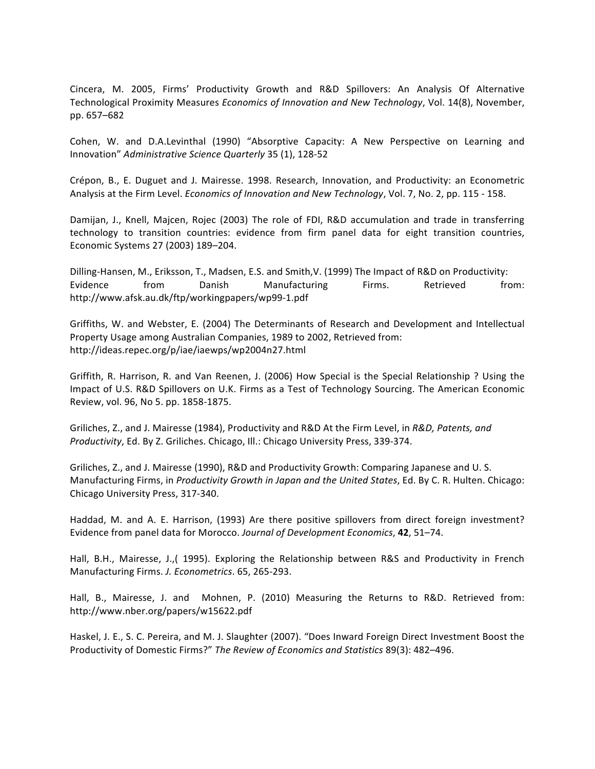Cincera, M. 2005, Firms' Productivity Growth and R&D Spillovers: An Analysis Of Alternative Technological Proximity Measures *Economics of Innovation and New Technology*, Vol. 14(8), November, pp. 657–682

Cohen, W. and D.A.Levinthal (1990) "Absorptive Capacity: A New Perspective on Learning and Innovation" *Administrative Science Quarterly* 35 (1), 128-52

Crépon, B., E. Duguet and J. Mairesse. 1998. Research, Innovation, and Productivity: an Econometric Analysis at the Firm Level. *Economics of Innovation and New Technology*, Vol. 7, No. 2, pp. 115 - 158.

Damijan, J., Knell, Majcen, Rojec (2003) The role of FDI, R&D accumulation and trade in transferring technology to transition countries: evidence from firm panel data for eight transition countries, Economic Systems 27 (2003) 189-204.

Dilling-Hansen, M., Eriksson, T., Madsen, E.S. and Smith,V. (1999) The Impact of R&D on Productivity: Evidence from Danish Manufacturing Firms. Retrieved from: http://www.afsk.au.dk/ftp/workingpapers/wp99-1.pdf

Griffiths, W. and Webster, E. (2004) The Determinants of Research and Development and Intellectual Property Usage among Australian Companies, 1989 to 2002, Retrieved from: http://ideas.repec.org/p/iae/iaewps/wp2004n27.html

Griffith, R. Harrison, R. and Van Reenen, J. (2006) How Special is the Special Relationship ? Using the Impact of U.S. R&D Spillovers on U.K. Firms as a Test of Technology Sourcing. The American Economic Review, vol. 96, No 5. pp. 1858-1875.

Griliches, Z., and J. Mairesse (1984), Productivity and R&D At the Firm Level, in *R&D, Patents, and Productivity*, Ed. By Z. Griliches. Chicago, Ill.: Chicago University Press, 339-374.

Griliches, Z., and J. Mairesse (1990), R&D and Productivity Growth: Comparing Japanese and U. S. Manufacturing Firms, in *Productivity Growth in Japan and the United States*, Ed. By C. R. Hulten. Chicago: Chicago University Press, 317-340.

Haddad, M. and A. E. Harrison, (1993) Are there positive spillovers from direct foreign investment? Evidence from panel data for Morocco. Journal of Development Economics, **42**, 51–74.

Hall, B.H., Mairesse, J.,( 1995). Exploring the Relationship between R&S and Productivity in French Manufacturing Firms. *J. Econometrics*. 65, 265-293.

Hall, B., Mairesse, J. and Mohnen, P. (2010) Measuring the Returns to R&D. Retrieved from: http://www.nber.org/papers/w15622.pdf

Haskel, J. E., S. C. Pereira, and M. J. Slaughter (2007). "Does Inward Foreign Direct Investment Boost the Productivity of Domestic Firms?" The Review of Economics and Statistics 89(3): 482-496.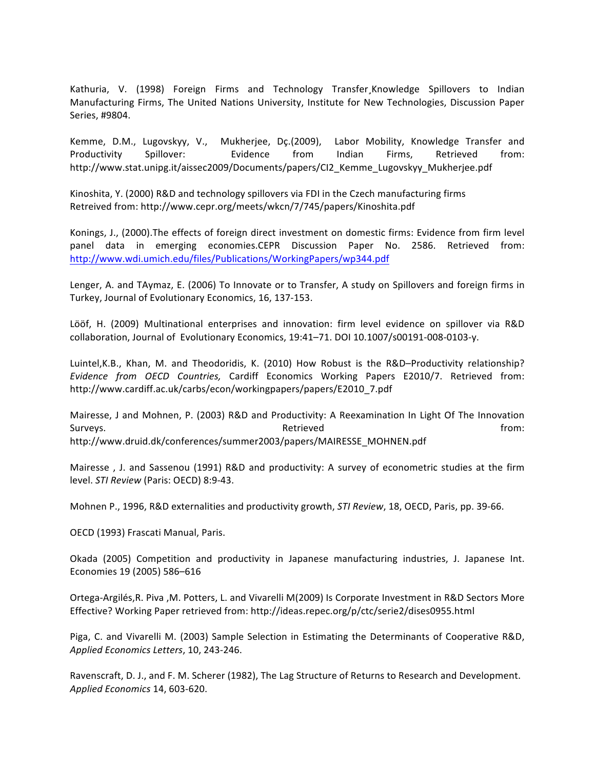Kathuria, V. (1998) Foreign Firms and Technology Transfer, Knowledge Spillovers to Indian Manufacturing Firms, The United Nations University, Institute for New Technologies, Discussion Paper Series, #9804.

Kemme, D.M., Lugovskyy, V., Mukherjee, Dç.(2009), Labor Mobility, Knowledge Transfer and Productivity Spillover: Evidence from Indian Firms, Retrieved from: http://www.stat.unipg.it/aissec2009/Documents/papers/CI2\_Kemme\_Lugovskyy\_Mukherjee.pdf

Kinoshita, Y. (2000) R&D and technology spillovers via FDI in the Czech manufacturing firms Retreived from: http://www.cepr.org/meets/wkcn/7/745/papers/Kinoshita.pdf

Konings, J., (2000). The effects of foreign direct investment on domestic firms: Evidence from firm level panel data in emerging economies.CEPR Discussion Paper No. 2586. Retrieved from: http://www.wdi.umich.edu/files/Publications/WorkingPapers/wp344.pdf

Lenger, A. and TAymaz, E. (2006) To Innovate or to Transfer, A study on Spillovers and foreign firms in Turkey, Journal of Evolutionary Economics, 16, 137-153.

Lööf, H. (2009) Multinational enterprises and innovation: firm level evidence on spillover via R&D collaboration, Journal of Evolutionary Economics, 19:41-71. DOI 10.1007/s00191-008-0103-y.

Luintel, K.B., Khan, M. and Theodoridis, K. (2010) How Robust is the R&D-Productivity relationship? *Evidence from OECD Countries,*  Cardiff Economics Working Papers E2010/7. Retrieved from: http://www.cardiff.ac.uk/carbs/econ/workingpapers/papers/E2010\_7.pdf

Mairesse, J and Mohnen, P. (2003) R&D and Productivity: A Reexamination In Light Of The Innovation Surveys. The contraction of the contraction of  $\blacksquare$  Retrieved the contraction of the from: http://www.druid.dk/conferences/summer2003/papers/MAIRESSE\_MOHNEN.pdf

Mairesse, J. and Sassenou (1991) R&D and productivity: A survey of econometric studies at the firm level. *STI Review* (Paris: OECD) 8:9-43.

Mohnen P., 1996, R&D externalities and productivity growth, *STI Review*, 18, OECD, Paris, pp. 39-66.

OECD (1993) Frascati Manual, Paris.

Okada (2005) Competition and productivity in Japanese manufacturing industries, J. Japanese Int. Economies 19 (2005) 586-616

Ortega-Argilés, R. Piva , M. Potters, L. and Vivarelli M(2009) Is Corporate Investment in R&D Sectors More Effective? Working Paper retrieved from: http://ideas.repec.org/p/ctc/serie2/dises0955.html

Piga, C. and Vivarelli M. (2003) Sample Selection in Estimating the Determinants of Cooperative R&D, *Applied Economics Letters*, 10, 243-246.

Ravenscraft, D. J., and F. M. Scherer (1982), The Lag Structure of Returns to Research and Development. *Applied Economics* 14, 603-620.